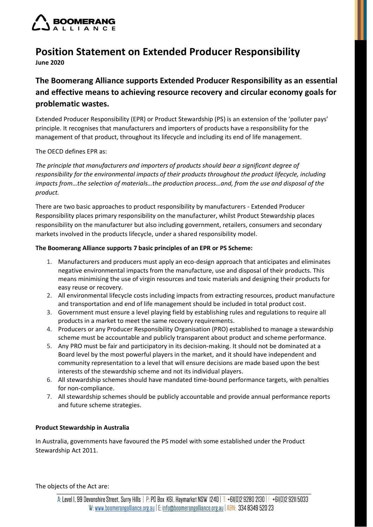

## **Position Statement on Extended Producer Responsibility June 2020**

# **The Boomerang Alliance supports Extended Producer Responsibility as an essential and effective means to achieving resource recovery and circular economy goals for problematic wastes.**

Extended Producer Responsibility (EPR) or Product Stewardship (PS) is an extension of the 'polluter pays' principle. It recognises that manufacturers and importers of products have a responsibility for the management of that product, throughout its lifecycle and including its end of life management.

The OECD defines EPR as:

*The principle that manufacturers and importers of products should bear a significant degree of responsibility for the environmental impacts of their products throughout the product lifecycle, including impacts from…the selection of materials…the production process…and, from the use and disposal of the product.*

There are two basic approaches to product responsibility by manufacturers - Extended Producer Responsibility places primary responsibility on the manufacturer, whilst Product Stewardship places responsibility on the manufacturer but also including government, retailers, consumers and secondary markets involved in the products lifecycle, under a shared responsibility model.

#### **The Boomerang Alliance supports 7 basic principles of an EPR or PS Scheme:**

- 1. Manufacturers and producers must apply an eco-design approach that anticipates and eliminates negative environmental impacts from the manufacture, use and disposal of their products. This means minimising the use of virgin resources and toxic materials and designing their products for easy reuse or recovery.
- 2. All environmental lifecycle costs including impacts from extracting resources, product manufacture and transportation and end of life management should be included in total product cost.
- 3. Government must ensure a level playing field by establishing rules and regulations to require all products in a market to meet the same recovery requirements.
- 4. Producers or any Producer Responsibility Organisation (PRO) established to manage a stewardship scheme must be accountable and publicly transparent about product and scheme performance.
- 5. Any PRO must be fair and participatory in its decision-making. It should not be dominated at a Board level by the most powerful players in the market, and it should have independent and community representation to a level that will ensure decisions are made based upon the best interests of the stewardship scheme and not its individual players.
- 6. All stewardship schemes should have mandated time-bound performance targets, with penalties for non-compliance.
- 7. All stewardship schemes should be publicly accountable and provide annual performance reports and future scheme strategies.

### **Product Stewardship in Australia**

In Australia, governments have favoured the PS model with some established under the Product Stewardship Act 2011.

The objects of the Act are: